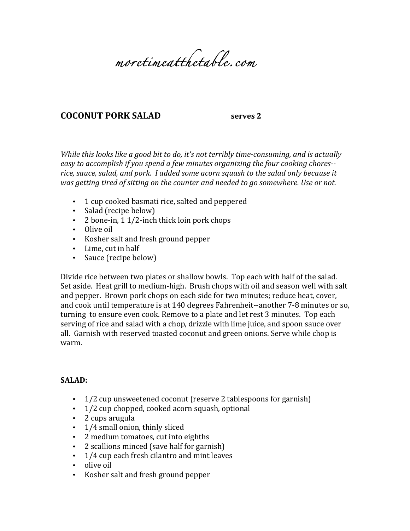

## **COCONUT PORK SALAD Serves** 2

*While this looks like a good bit to do, it's not terribly time-consuming, and is actually* easy to accomplish if you spend a few minutes organizing the four cooking chores-rice, sauce, salad, and pork. I added some acorn squash to the salad only because it was getting tired of sitting on the counter and needed to go somewhere. Use or not.

- 1 cup cooked basmati rice, salted and peppered
- Salad (recipe below)
- 2 bone-in,  $1\frac{1}{2}$ -inch thick loin pork chops
- Olive oil
- Kosher salt and fresh ground pepper
- Lime, cut in half
- Sauce (recipe below)

Divide rice between two plates or shallow bowls. Top each with half of the salad. Set aside. Heat grill to medium-high. Brush chops with oil and season well with salt and pepper. Brown pork chops on each side for two minutes; reduce heat, cover, and cook until temperature is at 140 degrees Fahrenheit--another 7-8 minutes or so, turning to ensure even cook. Remove to a plate and let rest 3 minutes. Top each serving of rice and salad with a chop, drizzle with lime juice, and spoon sauce over all. Garnish with reserved toasted coconut and green onions. Serve while chop is warm.

## **SALAD:**

- $1/2$  cup unsweetened coconut (reserve 2 tablespoons for garnish)
- $\cdot$  1/2 cup chopped, cooked acorn squash, optional
- 2 cups arugula
- $\cdot$  1/4 small onion, thinly sliced
- 2 medium tomatoes, cut into eighths
- 2 scallions minced (save half for garnish)
- $\cdot$  1/4 cup each fresh cilantro and mint leaves
- olive oil
- Kosher salt and fresh ground pepper